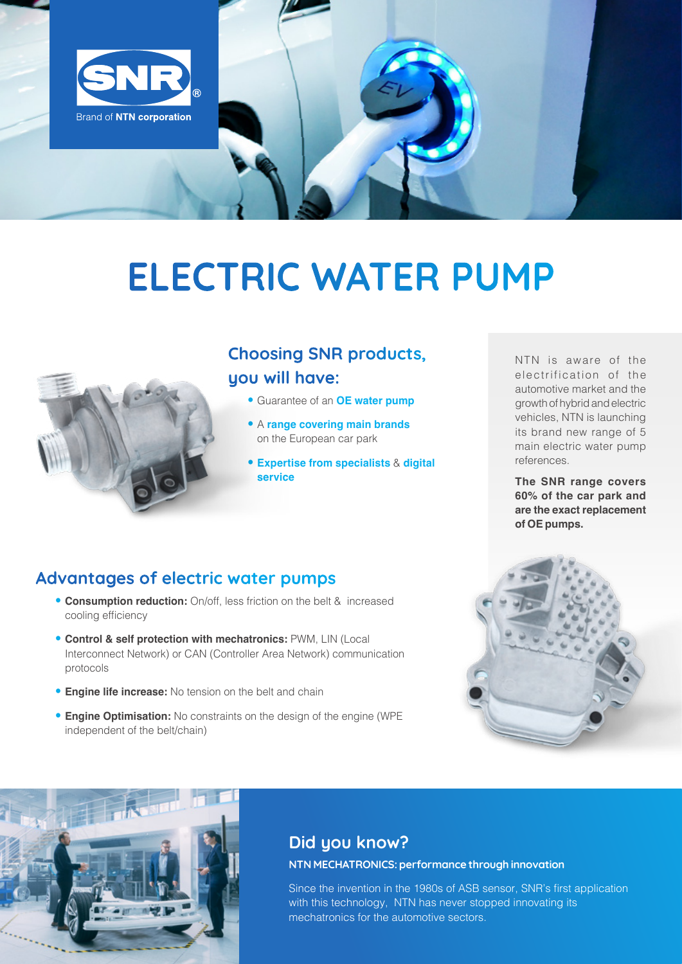

# ELECTRIC WATER PUMP



## Choosing SNR products, you will have:

- Guarantee of an **OE water pump**
- A **range covering main brands** on the European car park
- **Expertise from specialists** & **digital service**

NTN is aware of the electrification of the automotive market and the growth of hybrid and electric vehicles, NTN is launching its brand new range of 5 main electric water pump references.

**The SNR range covers 60% of the car park and are the exact replacement of OE pumps.** 

## Advantages of electric water pumps

- **Consumption reduction:** On/off, less friction on the belt & increased cooling efficiency
- **Control & self protection with mechatronics:** PWM, LIN (Local Interconnect Network) or CAN (Controller Area Network) communication protocols
- **Engine life increase:** No tension on the belt and chain
- **Engine Optimisation:** No constraints on the design of the engine (WPE independent of the belt/chain)





## Did you know?

#### NTN MECHATRONICS: performance through innovation

Since the invention in the 1980s of ASB sensor, SNR's first application with this technology. NTN has never stopped innovating its mechatronics for the automotive sectors.